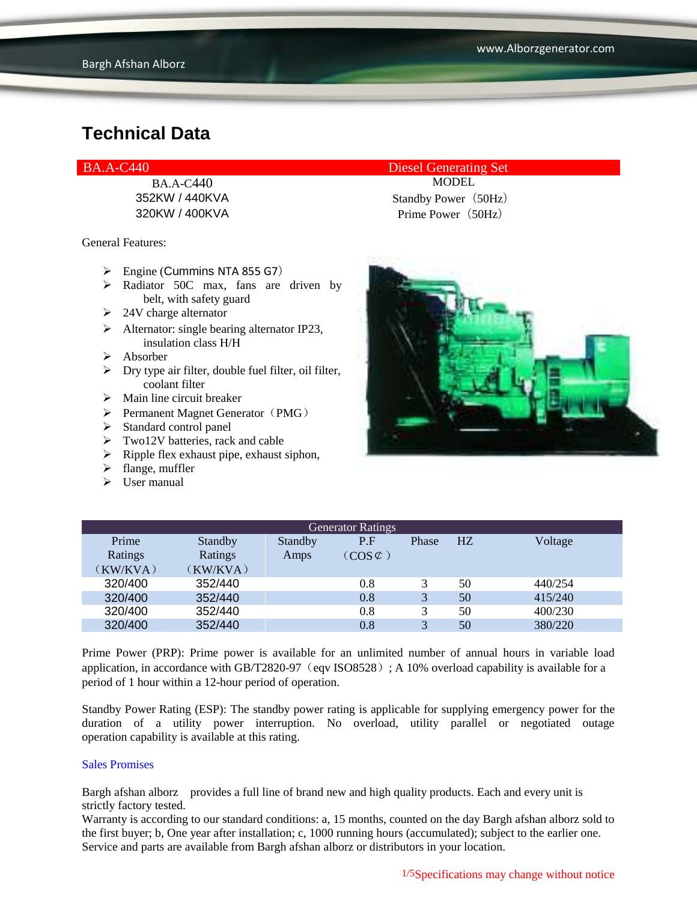General Features:

- $\triangleright$  Engine (Cummins NTA 855 G7)
- $\triangleright$  Radiator 50C max, fans are driven by belt, with safety guard
- $\geq$  24V charge alternator
- $\triangleright$  Alternator: single bearing alternator IP23, insulation class H/H
- $\triangleright$  Absorber
- $\triangleright$  Dry type air filter, double fuel filter, oil filter, coolant filter
- $\triangleright$  Main line circuit breaker
- $\triangleright$  Permanent Magnet Generator (PMG)
- $\triangleright$  Standard control panel
- $\triangleright$  Two12V batteries, rack and cable
- $\triangleright$  Ripple flex exhaust pipe, exhaust siphon,
- $\blacktriangleright$  flange, muffler
- $\triangleright$  User manual

BA.A-C440 Diesel Generating Set

BA.A-C440 MODEL 352KW / 440KVA Standby Power (50Hz) 320KW / 400KVA Prime Power (50Hz)



| <b>Generator Ratings</b> |          |         |                     |              |                |         |
|--------------------------|----------|---------|---------------------|--------------|----------------|---------|
| Prime                    | Standby  | Standby | P.F                 | Phase        | H <sub>Z</sub> | Voltage |
| Ratings                  | Ratings  | Amps    | $(COS \mathcal{C})$ |              |                |         |
| (KW/KVA)                 | (KW/KVA) |         |                     |              |                |         |
| 320/400                  | 352/440  |         | 0.8                 |              | 50             | 440/254 |
| 320/400                  | 352/440  |         | 0.8                 | $\mathbf{R}$ | 50             | 415/240 |
| 320/400                  | 352/440  |         | 0.8                 |              | 50             | 400/230 |
| 320/400                  | 352/440  |         | 0.8                 | $\mathbf{R}$ | 50             | 380/220 |

Prime Power (PRP): Prime power is available for an unlimited number of annual hours in variable load application, in accordance with GB/T2820-97 (eqv ISO8528); A 10% overload capability is available for a period of 1 hour within a 12-hour period of operation.

Standby Power Rating (ESP): The standby power rating is applicable for supplying emergency power for the duration of a utility power interruption. No overload, utility parallel or negotiated outage operation capability is available at this rating.

#### Sales Promises

Bargh afshan alborz provides a full line of brand new and high quality products. Each and every unit is strictly factory tested.

Warranty is according to our standard conditions: a, 15 months, counted on the day Bargh afshan alborz sold to the first buyer; b, One year after installation; c, 1000 running hours (accumulated); subject to the earlier one. Service and parts are available from Bargh afshan alborz or distributors in your location.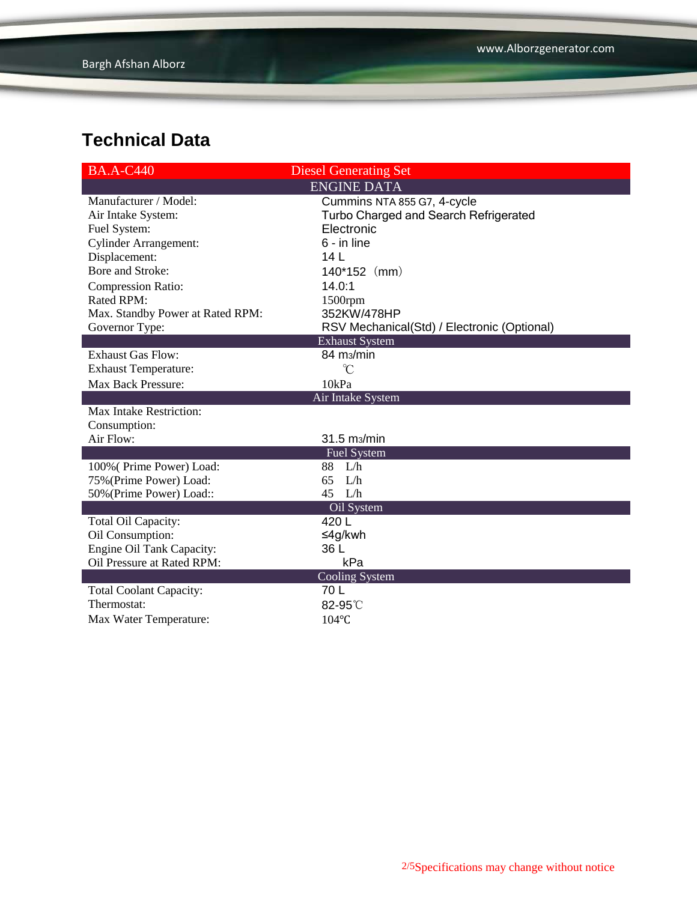| <b>BA.A-C440</b>                 | <b>Diesel Generating Set</b>                |
|----------------------------------|---------------------------------------------|
|                                  | <b>ENGINE DATA</b>                          |
| Manufacturer / Model:            | Cummins NTA 855 G7, 4-cycle                 |
| Air Intake System:               | Turbo Charged and Search Refrigerated       |
| Fuel System:                     | Electronic                                  |
| <b>Cylinder Arrangement:</b>     | 6 - in line                                 |
| Displacement:                    | 14 <sub>L</sub>                             |
| Bore and Stroke:                 | $140*152$ (mm)                              |
| Compression Ratio:               | 14.0:1                                      |
| Rated RPM:                       | 1500rpm                                     |
| Max. Standby Power at Rated RPM: | 352KW/478HP                                 |
| Governor Type:                   | RSV Mechanical(Std) / Electronic (Optional) |
|                                  | <b>Exhaust System</b>                       |
| <b>Exhaust Gas Flow:</b>         | 84 m <sub>3</sub> /min                      |
| <b>Exhaust Temperature:</b>      | $\mathrm{C}^{\circ}$                        |
| Max Back Pressure:               | 10kPa                                       |
|                                  | Air Intake System                           |
| <b>Max Intake Restriction:</b>   |                                             |
| Consumption:                     |                                             |
| Air Flow:                        | 31.5 m <sub>3</sub> /min                    |
|                                  | <b>Fuel System</b>                          |
| 100% (Prime Power) Load:         | 88 L/h                                      |
| 75% (Prime Power) Load:          | 65<br>L/h                                   |
| 50% (Prime Power) Load::         | $45$ L/h                                    |
|                                  | Oil System                                  |
| Total Oil Capacity:              | 420 L                                       |
| Oil Consumption:                 | ≤4g/kwh                                     |
| Engine Oil Tank Capacity:        | 36 L                                        |
| Oil Pressure at Rated RPM:       | kPa                                         |
|                                  | Cooling System                              |
| <b>Total Coolant Capacity:</b>   | 70 L                                        |
| Thermostat:                      | 82-95°C                                     |
| Max Water Temperature:           | 104°C                                       |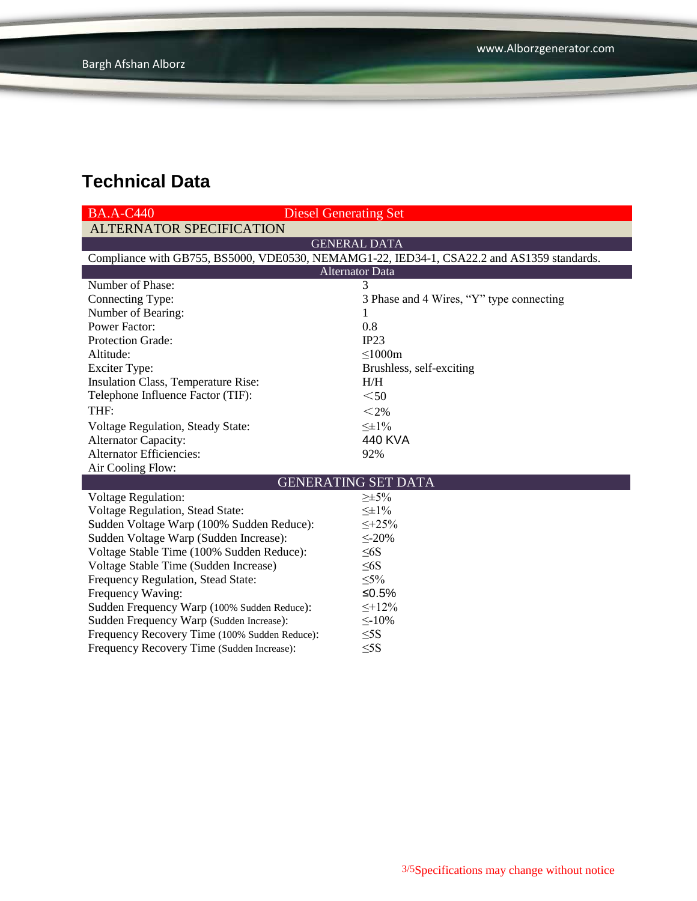| <b>BA.A-C440</b>                                                                           | <b>Diesel Generating Set</b>             |  |  |  |  |
|--------------------------------------------------------------------------------------------|------------------------------------------|--|--|--|--|
| <b>ALTERNATOR SPECIFICATION</b>                                                            |                                          |  |  |  |  |
| <b>GENERAL DATA</b>                                                                        |                                          |  |  |  |  |
| Compliance with GB755, BS5000, VDE0530, NEMAMG1-22, IED34-1, CSA22.2 and AS1359 standards. |                                          |  |  |  |  |
| <b>Alternator Data</b>                                                                     |                                          |  |  |  |  |
| Number of Phase:                                                                           | 3                                        |  |  |  |  |
| Connecting Type:                                                                           | 3 Phase and 4 Wires, "Y" type connecting |  |  |  |  |
| Number of Bearing:                                                                         | 1                                        |  |  |  |  |
| <b>Power Factor:</b>                                                                       | 0.8                                      |  |  |  |  |
| <b>Protection Grade:</b>                                                                   | IP23                                     |  |  |  |  |
| Altitude:                                                                                  | $\leq 1000m$                             |  |  |  |  |
| <b>Exciter Type:</b>                                                                       | Brushless, self-exciting                 |  |  |  |  |
| Insulation Class, Temperature Rise:                                                        | H/H                                      |  |  |  |  |
| Telephone Influence Factor (TIF):                                                          | $50$                                     |  |  |  |  |
| THF:                                                                                       | $<$ 2%                                   |  |  |  |  |
| Voltage Regulation, Steady State:                                                          | $\leq \pm 1\%$                           |  |  |  |  |
| <b>Alternator Capacity:</b>                                                                | 440 KVA                                  |  |  |  |  |
| <b>Alternator Efficiencies:</b>                                                            | 92%                                      |  |  |  |  |
| Air Cooling Flow:                                                                          |                                          |  |  |  |  |
|                                                                                            | <b>GENERATING SET DATA</b>               |  |  |  |  |
| <b>Voltage Regulation:</b>                                                                 | $\geq \pm 5\%$                           |  |  |  |  |
| Voltage Regulation, Stead State:                                                           | $\leq \pm 1\%$                           |  |  |  |  |
| Sudden Voltage Warp (100% Sudden Reduce):                                                  | $\leq +25\%$                             |  |  |  |  |
| Sudden Voltage Warp (Sudden Increase):                                                     | $\leq$ -20%                              |  |  |  |  |
| Voltage Stable Time (100% Sudden Reduce):                                                  | $\leq 6S$                                |  |  |  |  |
| Voltage Stable Time (Sudden Increase)                                                      | $\leq 6S$                                |  |  |  |  |
| Frequency Regulation, Stead State:                                                         | $\leq 5\%$                               |  |  |  |  |
| Frequency Waving:                                                                          | ≤0.5%                                    |  |  |  |  |
| Sudden Frequency Warp (100% Sudden Reduce):                                                | $\leq +12\%$                             |  |  |  |  |
| Sudden Frequency Warp (Sudden Increase):                                                   | $\leq$ -10%                              |  |  |  |  |
| Frequency Recovery Time (100% Sudden Reduce):                                              | $\leq$ 5S                                |  |  |  |  |
| Frequency Recovery Time (Sudden Increase):                                                 | $\leq$ 5S                                |  |  |  |  |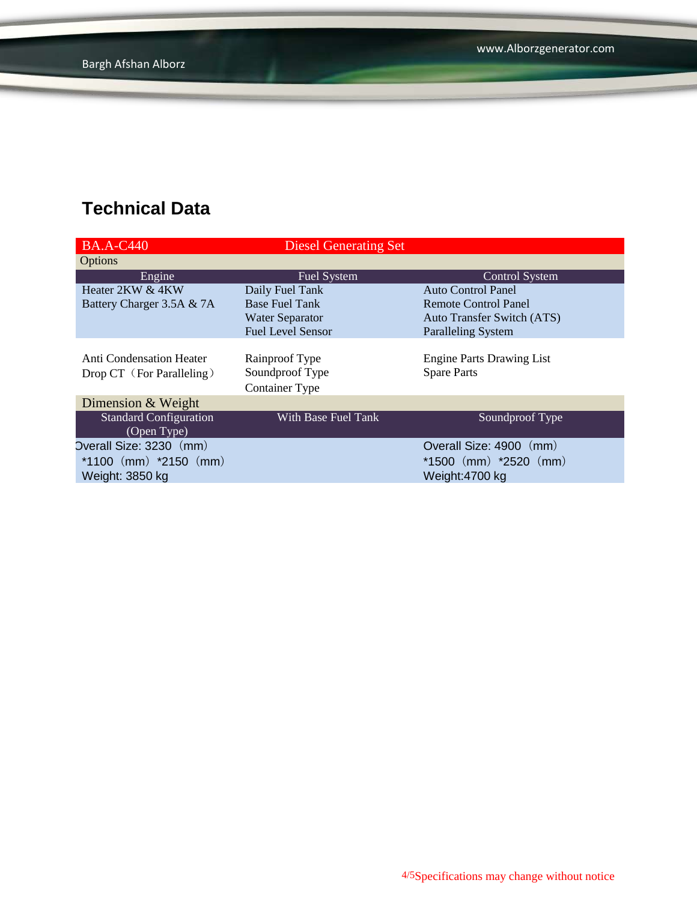| <b>BA.A-C440</b>                | <b>Diesel Generating Set</b> |                                   |
|---------------------------------|------------------------------|-----------------------------------|
| Options                         |                              |                                   |
| Engine                          | <b>Fuel System</b>           | <b>Control System</b>             |
| Heater 2KW & 4KW                | Daily Fuel Tank              | <b>Auto Control Panel</b>         |
| Battery Charger 3.5A & 7A       | <b>Base Fuel Tank</b>        | Remote Control Panel              |
|                                 | <b>Water Separator</b>       | <b>Auto Transfer Switch (ATS)</b> |
|                                 | <b>Fuel Level Sensor</b>     | <b>Paralleling System</b>         |
|                                 |                              |                                   |
| <b>Anti Condensation Heater</b> | Rainproof Type               | <b>Engine Parts Drawing List</b>  |
| Drop CT (For Paralleling)       | Soundproof Type              | <b>Spare Parts</b>                |
|                                 | <b>Container Type</b>        |                                   |
| Dimension & Weight              |                              |                                   |
| <b>Standard Configuration</b>   | With Base Fuel Tank          | Soundproof Type                   |
| (Open Type)                     |                              |                                   |
| Overall Size: 3230 (mm)         |                              | Overall Size: 4900 (mm)           |
| $*1100$ (mm) $*2150$ (mm)       |                              | $*1500$ (mm) $*2520$ (mm)         |
| Weight: 3850 kg                 |                              | Weight:4700 kg                    |